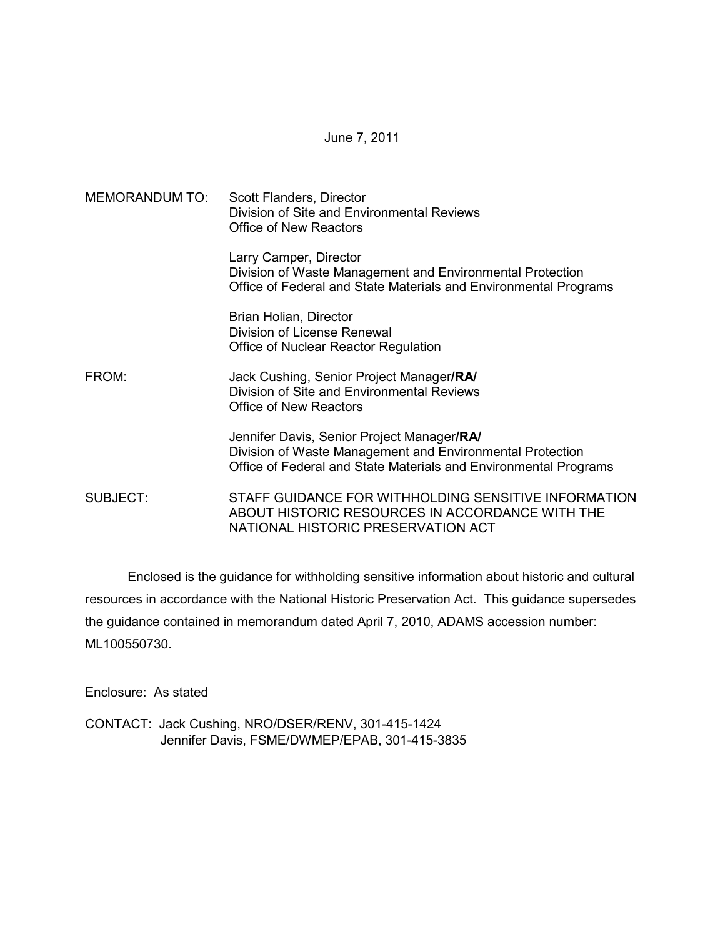June 7, 2011

MEMORANDUM TO: Scott Flanders, Director Division of Site and Environmental Reviews Office of New Reactors Larry Camper, Director Division of Waste Management and Environmental Protection Office of Federal and State Materials and Environmental Programs Brian Holian, Director Division of License Renewal Office of Nuclear Reactor Regulation FROM: Jack Cushing, Senior Project Manager**/RA/** Division of Site and Environmental Reviews Office of New Reactors Jennifer Davis, Senior Project Manager**/RA/** Division of Waste Management and Environmental Protection Office of Federal and State Materials and Environmental Programs SUBJECT: STAFF GUIDANCE FOR WITHHOLDING SENSITIVE INFORMATION ABOUT HISTORIC RESOURCES IN ACCORDANCE WITH THE NATIONAL HISTORIC PRESERVATION ACT

 Enclosed is the guidance for withholding sensitive information about historic and cultural resources in accordance with the National Historic Preservation Act. This guidance supersedes the guidance contained in memorandum dated April 7, 2010, ADAMS accession number: ML100550730.

Enclosure: As stated

CONTACT: Jack Cushing, NRO/DSER/RENV, 301-415-1424 Jennifer Davis, FSME/DWMEP/EPAB, 301-415-3835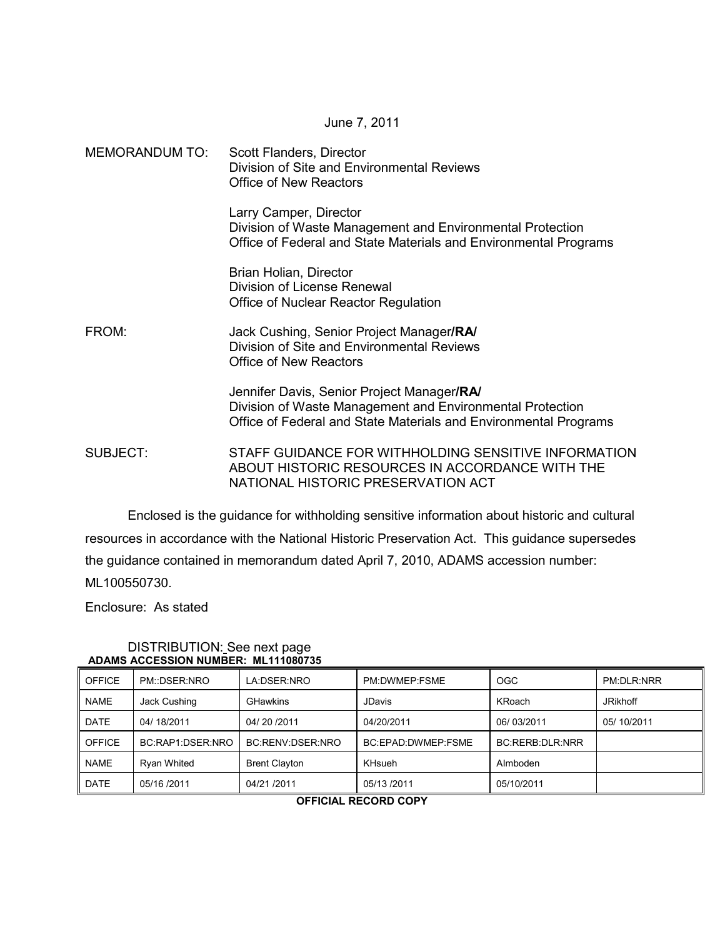#### June 7, 2011

| MEMORANDUM TO: | Scott Flanders, Director<br>Division of Site and Environmental Reviews<br><b>Office of New Reactors</b>                                                                     |
|----------------|-----------------------------------------------------------------------------------------------------------------------------------------------------------------------------|
|                | Larry Camper, Director<br>Division of Waste Management and Environmental Protection<br>Office of Federal and State Materials and Environmental Programs                     |
|                | Brian Holian, Director<br>Division of License Renewal<br>Office of Nuclear Reactor Regulation                                                                               |
| FROM:          | Jack Cushing, Senior Project Manager/RA/<br>Division of Site and Environmental Reviews<br>Office of New Reactors                                                            |
|                | Jennifer Davis, Senior Project Manager/RA/<br>Division of Waste Management and Environmental Protection<br>Office of Federal and State Materials and Environmental Programs |
| SUBJECT:       | STAFF GUIDANCE FOR WITHHOLDING SENSITIVE INFORMATION<br>ABOUT HISTORIC RESOURCES IN ACCORDANCE WITH THE<br>NATIONAL HISTORIC PRESERVATION ACT                               |

 Enclosed is the guidance for withholding sensitive information about historic and cultural resources in accordance with the National Historic Preservation Act. This guidance supersedes the guidance contained in memorandum dated April 7, 2010, ADAMS accession number: ML100550730.

Enclosure: As stated

| ADAMO AVVLOUDI ROMDER, METTOOVIJJ |                    |                      |                    |                 |                 |  |  |
|-----------------------------------|--------------------|----------------------|--------------------|-----------------|-----------------|--|--|
| <b>OFFICE</b>                     | PM::DSER:NRO       | LA:DSER:NRO          | PM:DWMEP:FSME      | <b>OGC</b>      | PM:DLR:NRR      |  |  |
| <b>NAME</b>                       | Jack Cushing       | <b>GHawkins</b>      | <b>JDavis</b>      | KRoach          | <b>JRikhoff</b> |  |  |
| <b>DATE</b>                       | 04/18/2011         | 04/20/2011           | 04/20/2011         | 06/03/2011      | 05/10/2011      |  |  |
| <b>OFFICE</b>                     | BC:RAP1:DSER:NRO   | BC:RENV:DSER:NRO     | BC:EPAD:DWMEP:FSME | BC:RERB:DLR:NRR |                 |  |  |
| <b>NAME</b>                       | <b>Ryan Whited</b> | <b>Brent Clayton</b> | <b>KHsueh</b>      | Almboden        |                 |  |  |
| <b>DATE</b>                       | 05/16 /2011        | 04/21 /2011          | 05/13 /2011        | 05/10/2011      |                 |  |  |

#### DISTRIBUTION: See next page  **ADAMS ACCESSION NUMBER: ML111080735**

**OFFICIAL RECORD COPY**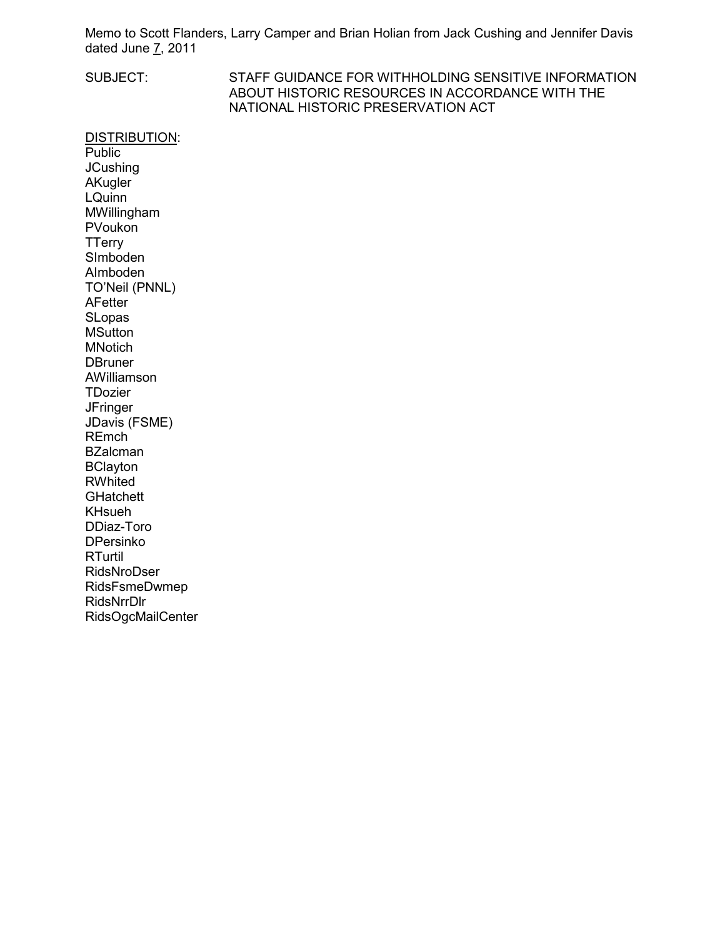Memo to Scott Flanders, Larry Camper and Brian Holian from Jack Cushing and Jennifer Davis dated June  $\overline{7}$ , 2011

SUBJECT: STAFF GUIDANCE FOR WITHHOLDING SENSITIVE INFORMATION ABOUT HISTORIC RESOURCES IN ACCORDANCE WITH THE NATIONAL HISTORIC PRESERVATION ACT

DISTRIBUTION: **Public JCushing AKugler** LQuinn MWillingham PVoukon **TTerry** SImboden AImboden TO'Neil (PNNL) AFetter **SLopas MSutton** MNotich **DBruner** AWilliamson **TDozier JFringer** JDavis (FSME) REmch **BZalcman** BClayton **RWhited GHatchett** KHsueh DDiaz-Toro DPersinko RTurtil RidsNroDser RidsFsmeDwmep RidsNrrDlr RidsOgcMailCenter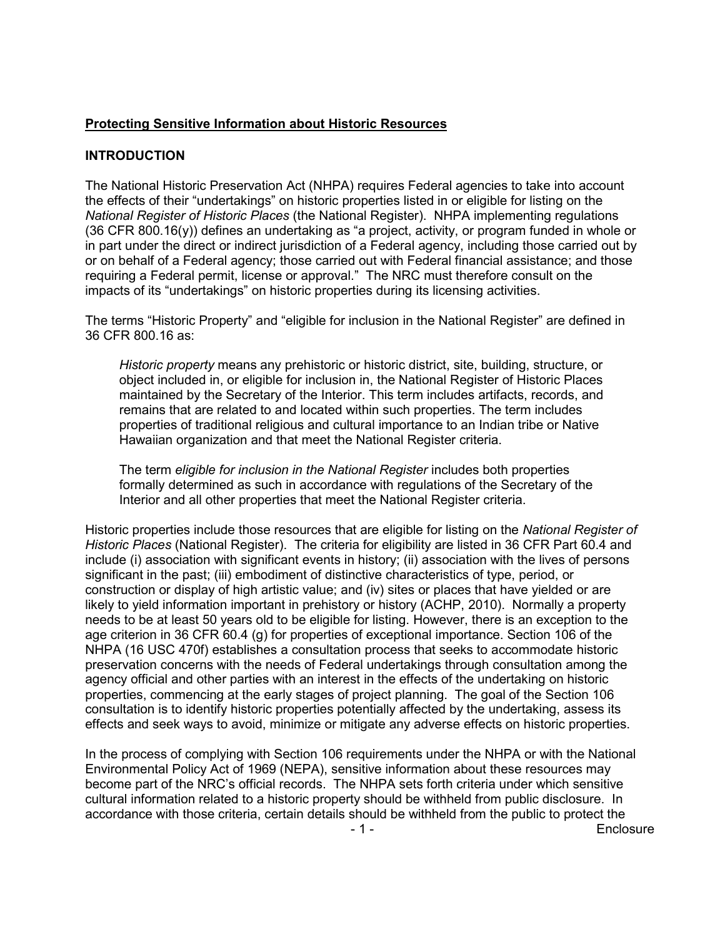## **Protecting Sensitive Information about Historic Resources**

## **INTRODUCTION**

The National Historic Preservation Act (NHPA) requires Federal agencies to take into account the effects of their "undertakings" on historic properties listed in or eligible for listing on the *National Register of Historic Places* (the National Register). NHPA implementing regulations (36 CFR 800.16(y)) defines an undertaking as "a project, activity, or program funded in whole or in part under the direct or indirect jurisdiction of a Federal agency, including those carried out by or on behalf of a Federal agency; those carried out with Federal financial assistance; and those requiring a Federal permit, license or approval." The NRC must therefore consult on the impacts of its "undertakings" on historic properties during its licensing activities.

The terms "Historic Property" and "eligible for inclusion in the National Register" are defined in 36 CFR 800.16 as:

*Historic property* means any prehistoric or historic district, site, building, structure, or object included in, or eligible for inclusion in, the National Register of Historic Places maintained by the Secretary of the Interior. This term includes artifacts, records, and remains that are related to and located within such properties. The term includes properties of traditional religious and cultural importance to an Indian tribe or Native Hawaiian organization and that meet the National Register criteria.

The term *eligible for inclusion in the National Register* includes both properties formally determined as such in accordance with regulations of the Secretary of the Interior and all other properties that meet the National Register criteria.

Historic properties include those resources that are eligible for listing on the *National Register of Historic Places* (National Register). The criteria for eligibility are listed in 36 CFR Part 60.4 and include (i) association with significant events in history; (ii) association with the lives of persons significant in the past; (iii) embodiment of distinctive characteristics of type, period, or construction or display of high artistic value; and (iv) sites or places that have yielded or are likely to yield information important in prehistory or history (ACHP, 2010). Normally a property needs to be at least 50 years old to be eligible for listing. However, there is an exception to the age criterion in 36 CFR 60.4 (g) for properties of exceptional importance. Section 106 of the NHPA (16 USC 470f) establishes a consultation process that seeks to accommodate historic preservation concerns with the needs of Federal undertakings through consultation among the agency official and other parties with an interest in the effects of the undertaking on historic properties, commencing at the early stages of project planning. The goal of the Section 106 consultation is to identify historic properties potentially affected by the undertaking, assess its effects and seek ways to avoid, minimize or mitigate any adverse effects on historic properties.

 - 1 - Enclosure In the process of complying with Section 106 requirements under the NHPA or with the National Environmental Policy Act of 1969 (NEPA), sensitive information about these resources may become part of the NRC's official records. The NHPA sets forth criteria under which sensitive cultural information related to a historic property should be withheld from public disclosure. In accordance with those criteria, certain details should be withheld from the public to protect the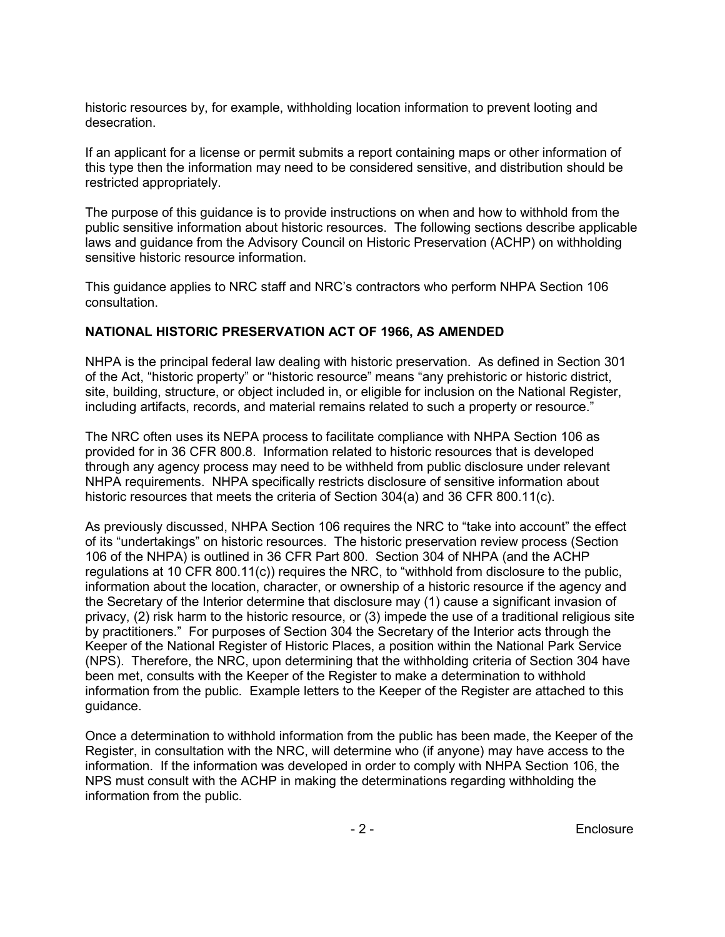historic resources by, for example, withholding location information to prevent looting and desecration.

If an applicant for a license or permit submits a report containing maps or other information of this type then the information may need to be considered sensitive, and distribution should be restricted appropriately.

The purpose of this guidance is to provide instructions on when and how to withhold from the public sensitive information about historic resources. The following sections describe applicable laws and guidance from the Advisory Council on Historic Preservation (ACHP) on withholding sensitive historic resource information.

This guidance applies to NRC staff and NRC's contractors who perform NHPA Section 106 consultation.

## **NATIONAL HISTORIC PRESERVATION ACT OF 1966, AS AMENDED**

NHPA is the principal federal law dealing with historic preservation. As defined in Section 301 of the Act, "historic property" or "historic resource" means "any prehistoric or historic district, site, building, structure, or object included in, or eligible for inclusion on the National Register, including artifacts, records, and material remains related to such a property or resource."

The NRC often uses its NEPA process to facilitate compliance with NHPA Section 106 as provided for in 36 CFR 800.8. Information related to historic resources that is developed through any agency process may need to be withheld from public disclosure under relevant NHPA requirements. NHPA specifically restricts disclosure of sensitive information about historic resources that meets the criteria of Section 304(a) and 36 CFR 800.11(c).

As previously discussed, NHPA Section 106 requires the NRC to "take into account" the effect of its "undertakings" on historic resources. The historic preservation review process (Section 106 of the NHPA) is outlined in 36 CFR Part 800. Section 304 of NHPA (and the ACHP regulations at 10 CFR 800.11(c)) requires the NRC, to "withhold from disclosure to the public, information about the location, character, or ownership of a historic resource if the agency and the Secretary of the Interior determine that disclosure may (1) cause a significant invasion of privacy, (2) risk harm to the historic resource, or (3) impede the use of a traditional religious site by practitioners." For purposes of Section 304 the Secretary of the Interior acts through the Keeper of the National Register of Historic Places, a position within the National Park Service (NPS). Therefore, the NRC, upon determining that the withholding criteria of Section 304 have been met, consults with the Keeper of the Register to make a determination to withhold information from the public. Example letters to the Keeper of the Register are attached to this guidance.

Once a determination to withhold information from the public has been made, the Keeper of the Register, in consultation with the NRC, will determine who (if anyone) may have access to the information. If the information was developed in order to comply with NHPA Section 106, the NPS must consult with the ACHP in making the determinations regarding withholding the information from the public.

e 2 - Enclosure et al. 2 - Enclosure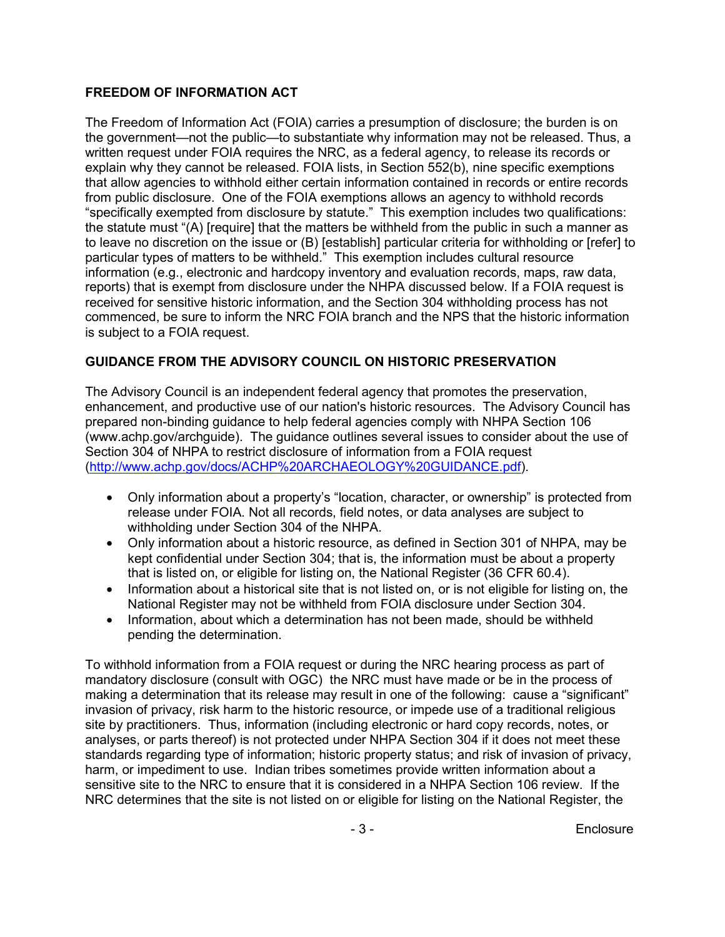# **FREEDOM OF INFORMATION ACT**

The Freedom of Information Act (FOIA) carries a presumption of disclosure; the burden is on the government—not the public—to substantiate why information may not be released. Thus, a written request under FOIA requires the NRC, as a federal agency, to release its records or explain why they cannot be released. FOIA lists, in Section 552(b), nine specific exemptions that allow agencies to withhold either certain information contained in records or entire records from public disclosure. One of the FOIA exemptions allows an agency to withhold records "specifically exempted from disclosure by statute." This exemption includes two qualifications: the statute must "(A) [require] that the matters be withheld from the public in such a manner as to leave no discretion on the issue or (B) [establish] particular criteria for withholding or [refer] to particular types of matters to be withheld." This exemption includes cultural resource information (e.g., electronic and hardcopy inventory and evaluation records, maps, raw data, reports) that is exempt from disclosure under the NHPA discussed below. If a FOIA request is received for sensitive historic information, and the Section 304 withholding process has not commenced, be sure to inform the NRC FOIA branch and the NPS that the historic information is subject to a FOIA request.

# **GUIDANCE FROM THE ADVISORY COUNCIL ON HISTORIC PRESERVATION**

The Advisory Council is an independent federal agency that promotes the preservation, enhancement, and productive use of our nation's historic resources. The Advisory Council has prepared non-binding guidance to help federal agencies comply with NHPA Section 106 (www.achp.gov/archguide). The guidance outlines several issues to consider about the use of Section 304 of NHPA to restrict disclosure of information from a FOIA request (http://www.achp.gov/docs/ACHP%20ARCHAEOLOGY%20GUIDANCE.pdf).

- Only information about a property's "location, character, or ownership" is protected from release under FOIA. Not all records, field notes, or data analyses are subject to withholding under Section 304 of the NHPA.
- Only information about a historic resource, as defined in Section 301 of NHPA, may be kept confidential under Section 304; that is, the information must be about a property that is listed on, or eligible for listing on, the National Register (36 CFR 60.4).
- Information about a historical site that is not listed on, or is not eligible for listing on, the National Register may not be withheld from FOIA disclosure under Section 304.
- Information, about which a determination has not been made, should be withheld pending the determination.

To withhold information from a FOIA request or during the NRC hearing process as part of mandatory disclosure (consult with OGC) the NRC must have made or be in the process of making a determination that its release may result in one of the following: cause a "significant" invasion of privacy, risk harm to the historic resource, or impede use of a traditional religious site by practitioners. Thus, information (including electronic or hard copy records, notes, or analyses, or parts thereof) is not protected under NHPA Section 304 if it does not meet these standards regarding type of information; historic property status; and risk of invasion of privacy, harm, or impediment to use. Indian tribes sometimes provide written information about a sensitive site to the NRC to ensure that it is considered in a NHPA Section 106 review. If the NRC determines that the site is not listed on or eligible for listing on the National Register, the

- 3 - Enclosure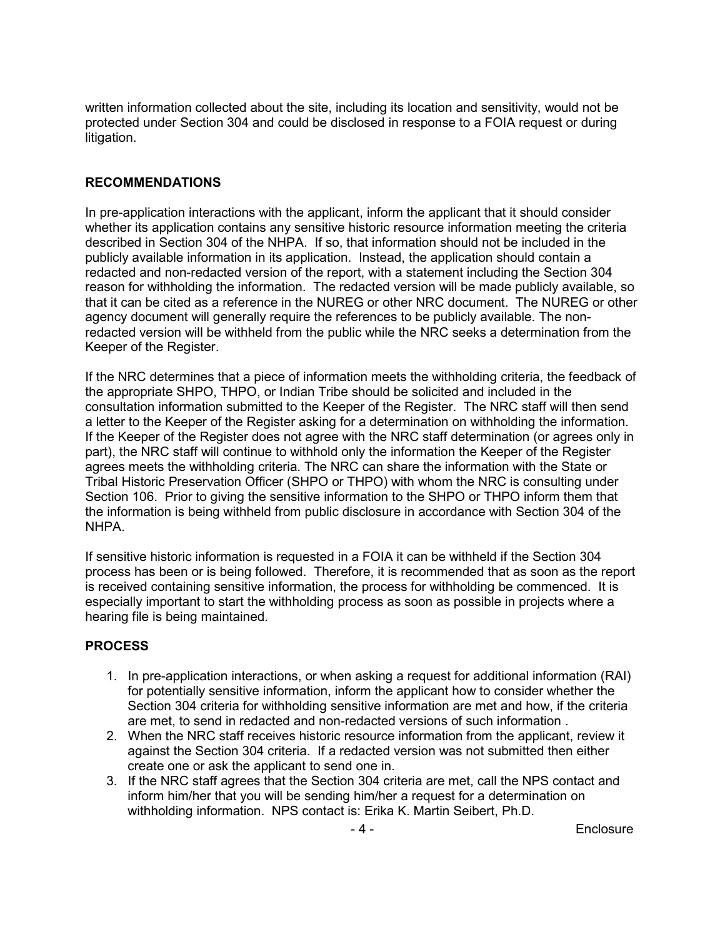written information collected about the site, including its location and sensitivity, would not be protected under Section 304 and could be disclosed in response to a FOIA request or during litigation.

## **RECOMMENDATIONS**

In pre-application interactions with the applicant, inform the applicant that it should consider whether its application contains any sensitive historic resource information meeting the criteria described in Section 304 of the NHPA. If so, that information should not be included in the publicly available information in its application. Instead, the application should contain a redacted and non-redacted version of the report, with a statement including the Section 304 reason for withholding the information. The redacted version will be made publicly available, so that it can be cited as a reference in the NUREG or other NRC document. The NUREG or other agency document will generally require the references to be publicly available. The nonredacted version will be withheld from the public while the NRC seeks a determination from the Keeper of the Register.

If the NRC determines that a piece of information meets the withholding criteria, the feedback of the appropriate SHPO, THPO, or Indian Tribe should be solicited and included in the consultation information submitted to the Keeper of the Register. The NRC staff will then send a letter to the Keeper of the Register asking for a determination on withholding the information. If the Keeper of the Register does not agree with the NRC staff determination (or agrees only in part), the NRC staff will continue to withhold only the information the Keeper of the Register agrees meets the withholding criteria. The NRC can share the information with the State or Tribal Historic Preservation Officer (SHPO or THPO) with whom the NRC is consulting under Section 106. Prior to giving the sensitive information to the SHPO or THPO inform them that the information is being withheld from public disclosure in accordance with Section 304 of the NHPA.

If sensitive historic information is requested in a FOIA it can be withheld if the Section 304 process has been or is being followed. Therefore, it is recommended that as soon as the report is received containing sensitive information, the process for withholding be commenced. It is especially important to start the withholding process as soon as possible in projects where a hearing file is being maintained.

#### **PROCESS**

- 1. In pre-application interactions, or when asking a request for additional information (RAI) for potentially sensitive information, inform the applicant how to consider whether the Section 304 criteria for withholding sensitive information are met and how, if the criteria are met, to send in redacted and non-redacted versions of such information .
- 2. When the NRC staff receives historic resource information from the applicant, review it against the Section 304 criteria. If a redacted version was not submitted then either create one or ask the applicant to send one in.
- 3. If the NRC staff agrees that the Section 304 criteria are met, call the NPS contact and inform him/her that you will be sending him/her a request for a determination on withholding information. NPS contact is: Erika K. Martin Seibert, Ph.D.

e 4 - Alian Barcelosure - 4 - Alian Barcelosure - 4 - Alian Barcelosure - Alian Barcelosure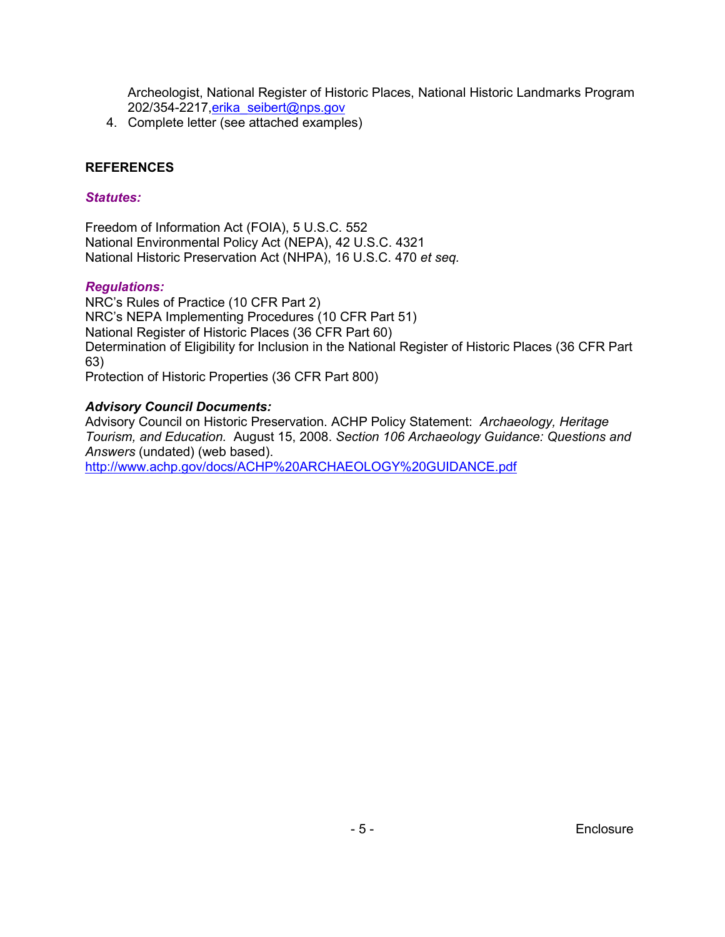Archeologist, National Register of Historic Places, National Historic Landmarks Program 202/354-2217, erika\_seibert@nps.gov

4. Complete letter (see attached examples)

#### **REFERENCES**

#### *Statutes:*

Freedom of Information Act (FOIA), 5 U.S.C. 552 National Environmental Policy Act (NEPA), 42 U.S.C. 4321 National Historic Preservation Act (NHPA), 16 U.S.C. 470 *et seq.* 

## *Regulations:*

NRC's Rules of Practice (10 CFR Part 2) NRC's NEPA Implementing Procedures (10 CFR Part 51) National Register of Historic Places (36 CFR Part 60) Determination of Eligibility for Inclusion in the National Register of Historic Places (36 CFR Part 63) Protection of Historic Properties (36 CFR Part 800)

# *Advisory Council Documents:*

Advisory Council on Historic Preservation. ACHP Policy Statement: *Archaeology, Heritage Tourism, and Education.* August 15, 2008. *Section 106 Archaeology Guidance: Questions and Answers* (undated) (web based).

http://www.achp.gov/docs/ACHP%20ARCHAEOLOGY%20GUIDANCE.pdf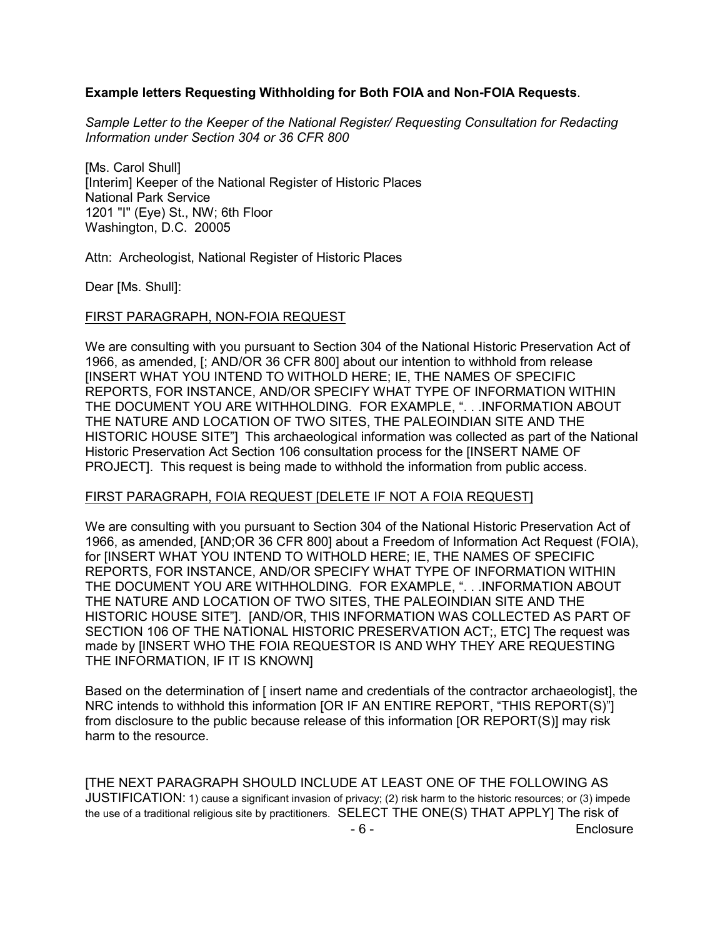## **Example letters Requesting Withholding for Both FOIA and Non-FOIA Requests**.

*Sample Letter to the Keeper of the National Register/ Requesting Consultation for Redacting Information under Section 304 or 36 CFR 800* 

[Ms. Carol Shull] [Interim] Keeper of the National Register of Historic Places National Park Service 1201 "I" (Eye) St., NW; 6th Floor Washington, D.C. 20005

Attn: Archeologist, National Register of Historic Places

Dear [Ms. Shull]:

#### FIRST PARAGRAPH, NON-FOIA REQUEST

We are consulting with you pursuant to Section 304 of the National Historic Preservation Act of 1966, as amended, [; AND/OR 36 CFR 800] about our intention to withhold from release [INSERT WHAT YOU INTEND TO WITHOLD HERE; IE, THE NAMES OF SPECIFIC REPORTS, FOR INSTANCE, AND/OR SPECIFY WHAT TYPE OF INFORMATION WITHIN THE DOCUMENT YOU ARE WITHHOLDING. FOR EXAMPLE, ". . .INFORMATION ABOUT THE NATURE AND LOCATION OF TWO SITES, THE PALEOINDIAN SITE AND THE HISTORIC HOUSE SITE"] This archaeological information was collected as part of the National Historic Preservation Act Section 106 consultation process for the [INSERT NAME OF PROJECT]. This request is being made to withhold the information from public access.

#### FIRST PARAGRAPH, FOIA REQUEST [DELETE IF NOT A FOIA REQUEST]

We are consulting with you pursuant to Section 304 of the National Historic Preservation Act of 1966, as amended, [AND;OR 36 CFR 800] about a Freedom of Information Act Request (FOIA), for [INSERT WHAT YOU INTEND TO WITHOLD HERE; IE, THE NAMES OF SPECIFIC REPORTS, FOR INSTANCE, AND/OR SPECIFY WHAT TYPE OF INFORMATION WITHIN THE DOCUMENT YOU ARE WITHHOLDING. FOR EXAMPLE, ". . .INFORMATION ABOUT THE NATURE AND LOCATION OF TWO SITES, THE PALEOINDIAN SITE AND THE HISTORIC HOUSE SITE"]. [AND/OR, THIS INFORMATION WAS COLLECTED AS PART OF SECTION 106 OF THE NATIONAL HISTORIC PRESERVATION ACT;, ETC] The request was made by [INSERT WHO THE FOIA REQUESTOR IS AND WHY THEY ARE REQUESTING THE INFORMATION, IF IT IS KNOWN]

Based on the determination of [ insert name and credentials of the contractor archaeologist], the NRC intends to withhold this information [OR IF AN ENTIRE REPORT, "THIS REPORT(S)"] from disclosure to the public because release of this information [OR REPORT(S)] may risk harm to the resource.

 - 6 - Enclosure [THE NEXT PARAGRAPH SHOULD INCLUDE AT LEAST ONE OF THE FOLLOWING AS JUSTIFICATION: 1) cause a significant invasion of privacy; (2) risk harm to the historic resources; or (3) impede the use of a traditional religious site by practitioners. SELECT THE ONE(S) THAT APPLY] The risk of